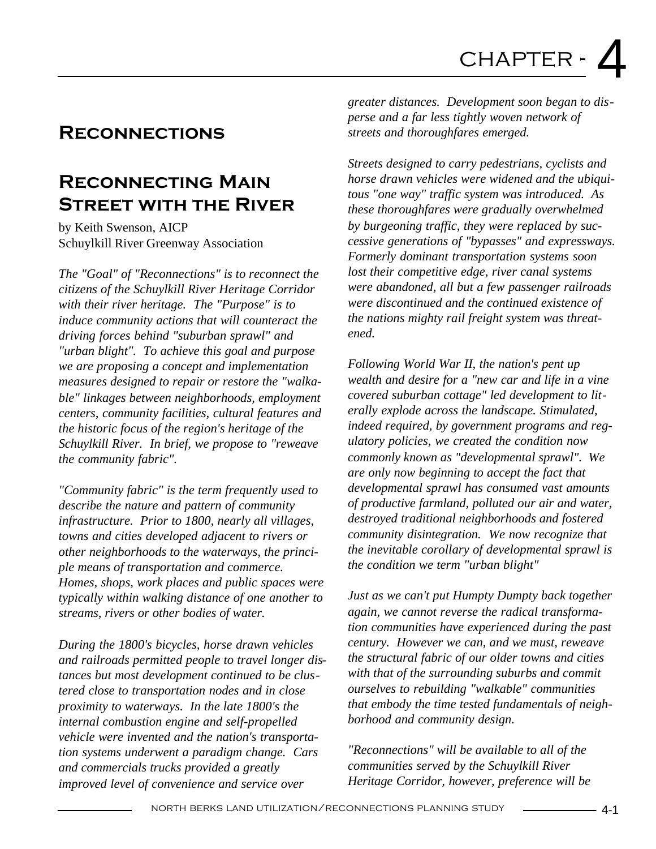# **Reconnecting Main Street with the River**

by Keith Swenson, AICP Schuylkill River Greenway Association

*The "Goal" of "Reconnections" is to reconnect the citizens of the Schuylkill River Heritage Corridor with their river heritage. The "Purpose" is to induce community actions that will counteract the driving forces behind "suburban sprawl" and "urban blight". To achieve this goal and purpose we are proposing a concept and implementation measures designed to repair or restore the "walkable" linkages between neighborhoods, employment centers, community facilities, cultural features and the historic focus of the region's heritage of the Schuylkill River. In brief, we propose to "reweave the community fabric".* 

*"Community fabric" is the term frequently used to describe the nature and pattern of community infrastructure. Prior to 1800, nearly all villages, towns and cities developed adjacent to rivers or other neighborhoods to the waterways, the principle means of transportation and commerce. Homes, shops, work places and public spaces were typically within walking distance of one another to streams, rivers or other bodies of water.*

*During the 1800's bicycles, horse drawn vehicles and railroads permitted people to travel longer distances but most development continued to be clustered close to transportation nodes and in close proximity to waterways. In the late 1800's the internal combustion engine and self-propelled vehicle were invented and the nation's transportation systems underwent a paradigm change. Cars and commercials trucks provided a greatly improved level of convenience and service over*

*greater distances. Development soon began to disperse and a far less tightly woven network of streets and thoroughfares emerged.*

*Streets designed to carry pedestrians, cyclists and horse drawn vehicles were widened and the ubiquitous "one way" traffic system was introduced. As these thoroughfares were gradually overwhelmed by burgeoning traffic, they were replaced by successive generations of "bypasses" and expressways. Formerly dominant transportation systems soon lost their competitive edge, river canal systems were abandoned, all but a few passenger railroads were discontinued and the continued existence of the nations mighty rail freight system was threatened.*

*Following World War II, the nation's pent up wealth and desire for a "new car and life in a vine covered suburban cottage" led development to literally explode across the landscape. Stimulated, indeed required, by government programs and regulatory policies, we created the condition now commonly known as "developmental sprawl". We are only now beginning to accept the fact that developmental sprawl has consumed vast amounts of productive farmland, polluted our air and water, destroyed traditional neighborhoods and fostered community disintegration. We now recognize that the inevitable corollary of developmental sprawl is the condition we term "urban blight"* 

*Just as we can't put Humpty Dumpty back together again, we cannot reverse the radical transformation communities have experienced during the past century. However we can, and we must, reweave the structural fabric of our older towns and cities with that of the surrounding suburbs and commit ourselves to rebuilding "walkable" communities that embody the time tested fundamentals of neighborhood and community design.* 

*"Reconnections" will be available to all of the communities served by the Schuylkill River Heritage Corridor, however, preference will be*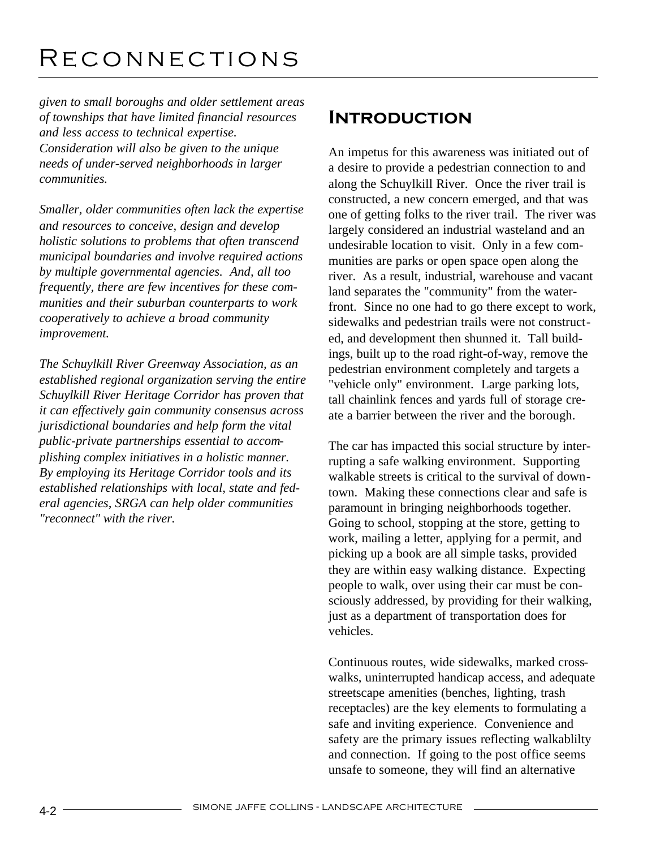*given to small boroughs and older settlement areas of townships that have limited financial resources and less access to technical expertise. Consideration will also be given to the unique needs of under-served neighborhoods in larger communities.*

*Smaller, older communities often lack the expertise and resources to conceive, design and develop holistic solutions to problems that often transcend municipal boundaries and involve required actions by multiple governmental agencies. And, all too frequently, there are few incentives for these communities and their suburban counterparts to work cooperatively to achieve a broad community improvement.* 

*The Schuylkill River Greenway Association, as an established regional organization serving the entire Schuylkill River Heritage Corridor has proven that it can effectively gain community consensus across jurisdictional boundaries and help form the vital public-private partnerships essential to accomplishing complex initiatives in a holistic manner. By employing its Heritage Corridor tools and its established relationships with local, state and federal agencies, SRGA can help older communities "reconnect" with the river.*

# **Introduction**

An impetus for this awareness was initiated out of a desire to provide a pedestrian connection to and along the Schuylkill River. Once the river trail is constructed, a new concern emerged, and that was one of getting folks to the river trail. The river was largely considered an industrial wasteland and an undesirable location to visit. Only in a few communities are parks or open space open along the river. As a result, industrial, warehouse and vacant land separates the "community" from the waterfront. Since no one had to go there except to work, sidewalks and pedestrian trails were not constructed, and development then shunned it. Tall buildings, built up to the road right-of-way, remove the pedestrian environment completely and targets a "vehicle only" environment. Large parking lots, tall chainlink fences and yards full of storage create a barrier between the river and the borough.

The car has impacted this social structure by interrupting a safe walking environment. Supporting walkable streets is critical to the survival of downtown. Making these connections clear and safe is paramount in bringing neighborhoods together. Going to school, stopping at the store, getting to work, mailing a letter, applying for a permit, and picking up a book are all simple tasks, provided they are within easy walking distance. Expecting people to walk, over using their car must be consciously addressed, by providing for their walking, just as a department of transportation does for vehicles.

Continuous routes, wide sidewalks, marked crosswalks, uninterrupted handicap access, and adequate streetscape amenities (benches, lighting, trash receptacles) are the key elements to formulating a safe and inviting experience. Convenience and safety are the primary issues reflecting walkablilty and connection. If going to the post office seems unsafe to someone, they will find an alternative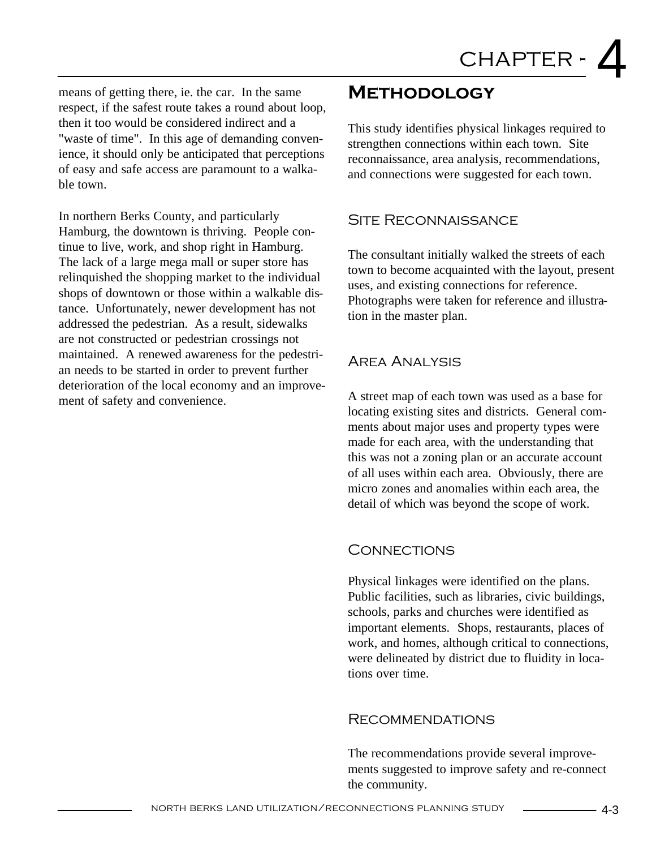4 *chapter -*

means of getting there, ie. the car. In the same respect, if the safest route takes a round about loop, then it too would be considered indirect and a "waste of time". In this age of demanding convenience, it should only be anticipated that perceptions of easy and safe access are paramount to a walkable town.

In northern Berks County, and particularly Hamburg, the downtown is thriving. People continue to live, work, and shop right in Hamburg. The lack of a large mega mall or super store has relinquished the shopping market to the individual shops of downtown or those within a walkable distance. Unfortunately, newer development has not addressed the pedestrian. As a result, sidewalks are not constructed or pedestrian crossings not maintained. A renewed awareness for the pedestrian needs to be started in order to prevent further deterioration of the local economy and an improvement of safety and convenience.

# **Methodology**

This study identifies physical linkages required to strengthen connections within each town. Site reconnaissance, area analysis, recommendations, and connections were suggested for each town.

## *Site Reconnaissance*

The consultant initially walked the streets of each town to become acquainted with the layout, present uses, and existing connections for reference. Photographs were taken for reference and illustration in the master plan.

# *Area Analysis*

A street map of each town was used as a base for locating existing sites and districts. General comments about major uses and property types were made for each area, with the understanding that this was not a zoning plan or an accurate account of all uses within each area. Obviously, there are micro zones and anomalies within each area, the detail of which was beyond the scope of work.

## *Connections*

Physical linkages were identified on the plans. Public facilities, such as libraries, civic buildings, schools, parks and churches were identified as important elements. Shops, restaurants, places of work, and homes, although critical to connections, were delineated by district due to fluidity in locations over time.

### *Recommendations*

The recommendations provide several improvements suggested to improve safety and re-connect the community.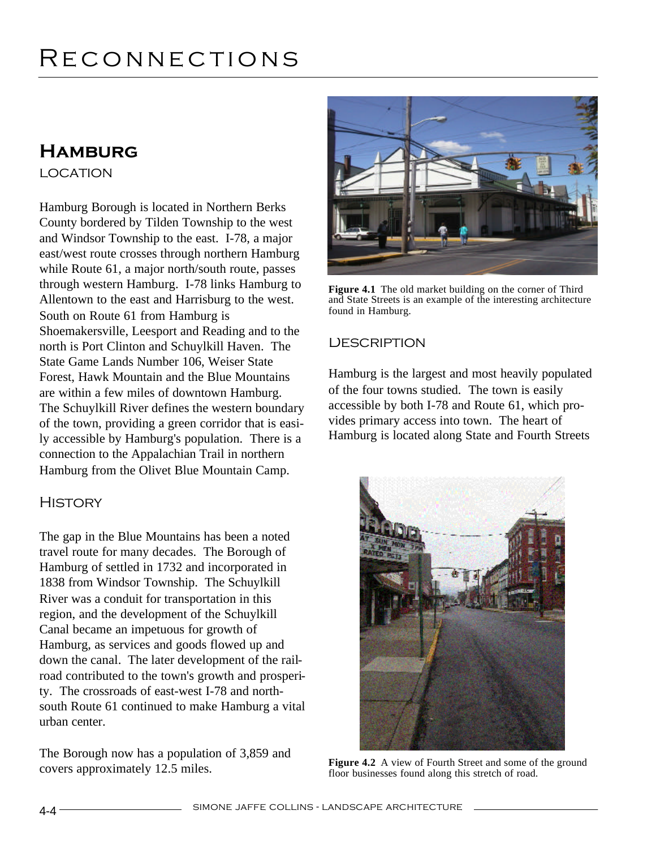# **Hamburg**

*location*

Hamburg Borough is located in Northern Berks County bordered by Tilden Township to the west and Windsor Township to the east. I-78, a major east/west route crosses through northern Hamburg while Route 61, a major north/south route, passes through western Hamburg. I-78 links Hamburg to Allentown to the east and Harrisburg to the west. South on Route 61 from Hamburg is Shoemakersville, Leesport and Reading and to the north is Port Clinton and Schuylkill Haven. The State Game Lands Number 106, Weiser State Forest, Hawk Mountain and the Blue Mountains are within a few miles of downtown Hamburg. The Schuylkill River defines the western boundary of the town, providing a green corridor that is easily accessible by Hamburg's population. There is a connection to the Appalachian Trail in northern Hamburg from the Olivet Blue Mountain Camp.

### *History*

The gap in the Blue Mountains has been a noted travel route for many decades. The Borough of Hamburg of settled in 1732 and incorporated in 1838 from Windsor Township. The Schuylkill River was a conduit for transportation in this region, and the development of the Schuylkill Canal became an impetuous for growth of Hamburg, as services and goods flowed up and down the canal. The later development of the railroad contributed to the town's growth and prosperity. The crossroads of east-west I-78 and northsouth Route 61 continued to make Hamburg a vital urban center.

The Borough now has a population of 3,859 and covers approximately 12.5 miles.



**Figure 4.1** The old market building on the corner of Third and State Streets is an example of the interesting architecture found in Hamburg.

### *Description*

Hamburg is the largest and most heavily populated of the four towns studied. The town is easily accessible by both I-78 and Route 61, which provides primary access into town. The heart of Hamburg is located along State and Fourth Streets



**Figure 4.2** A view of Fourth Street and some of the ground floor businesses found along this stretch of road.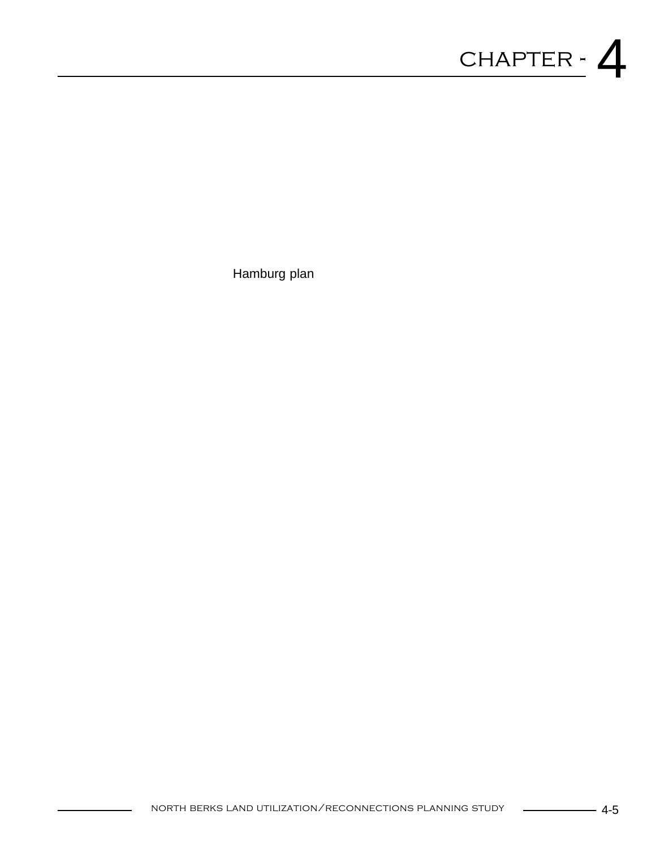

Hamburg plan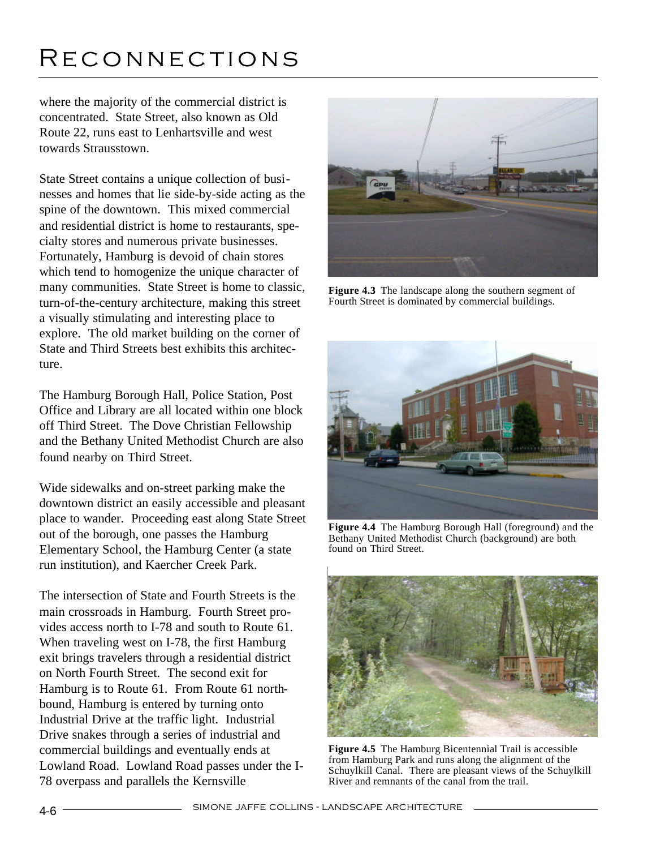where the majority of the commercial district is concentrated. State Street, also known as Old Route 22, runs east to Lenhartsville and west towards Strausstown.

State Street contains a unique collection of businesses and homes that lie side-by-side acting as the spine of the downtown. This mixed commercial and residential district is home to restaurants, specialty stores and numerous private businesses. Fortunately, Hamburg is devoid of chain stores which tend to homogenize the unique character of many communities. State Street is home to classic, turn-of-the-century architecture, making this street a visually stimulating and interesting place to explore. The old market building on the corner of State and Third Streets best exhibits this architecture.

The Hamburg Borough Hall, Police Station, Post Office and Library are all located within one block off Third Street. The Dove Christian Fellowship and the Bethany United Methodist Church are also found nearby on Third Street.

Wide sidewalks and on-street parking make the downtown district an easily accessible and pleasant place to wander. Proceeding east along State Street out of the borough, one passes the Hamburg Elementary School, the Hamburg Center (a state run institution), and Kaercher Creek Park.

The intersection of State and Fourth Streets is the main crossroads in Hamburg. Fourth Street provides access north to I-78 and south to Route 61. When traveling west on I-78, the first Hamburg exit brings travelers through a residential district on North Fourth Street. The second exit for Hamburg is to Route 61. From Route 61 northbound, Hamburg is entered by turning onto Industrial Drive at the traffic light. Industrial Drive snakes through a series of industrial and commercial buildings and eventually ends at Lowland Road. Lowland Road passes under the I-78 overpass and parallels the Kernsville



**Figure 4.3** The landscape along the southern segment of Fourth Street is dominated by commercial buildings.



**Figure 4.4** The Hamburg Borough Hall (foreground) and the Bethany United Methodist Church (background) are both found on Third Street.



**Figure 4.5** The Hamburg Bicentennial Trail is accessible from Hamburg Park and runs along the alignment of the Schuylkill Canal. There are pleasant views of the Schuylkill River and remnants of the canal from the trail.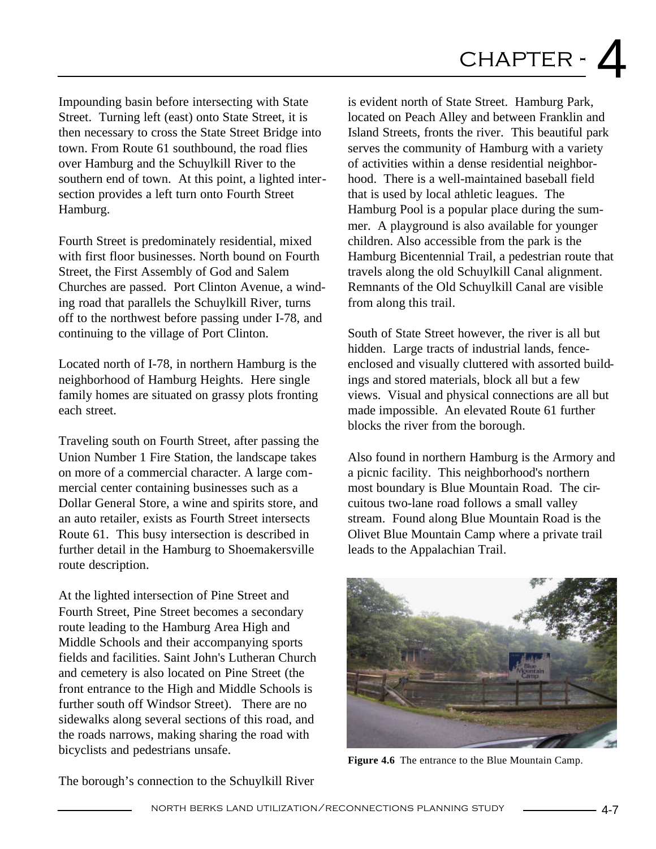Impounding basin before intersecting with State Street. Turning left (east) onto State Street, it is then necessary to cross the State Street Bridge into town. From Route 61 southbound, the road flies over Hamburg and the Schuylkill River to the southern end of town. At this point, a lighted intersection provides a left turn onto Fourth Street Hamburg.

Fourth Street is predominately residential, mixed with first floor businesses. North bound on Fourth Street, the First Assembly of God and Salem Churches are passed. Port Clinton Avenue, a winding road that parallels the Schuylkill River, turns off to the northwest before passing under I-78, and continuing to the village of Port Clinton.

Located north of I-78, in northern Hamburg is the neighborhood of Hamburg Heights. Here single family homes are situated on grassy plots fronting each street.

Traveling south on Fourth Street, after passing the Union Number 1 Fire Station, the landscape takes on more of a commercial character. A large commercial center containing businesses such as a Dollar General Store, a wine and spirits store, and an auto retailer, exists as Fourth Street intersects Route 61. This busy intersection is described in further detail in the Hamburg to Shoemakersville route description.

At the lighted intersection of Pine Street and Fourth Street, Pine Street becomes a secondary route leading to the Hamburg Area High and Middle Schools and their accompanying sports fields and facilities. Saint John's Lutheran Church and cemetery is also located on Pine Street (the front entrance to the High and Middle Schools is further south off Windsor Street). There are no sidewalks along several sections of this road, and the roads narrows, making sharing the road with bicyclists and pedestrians unsafe.

is evident north of State Street. Hamburg Park, located on Peach Alley and between Franklin and Island Streets, fronts the river. This beautiful park serves the community of Hamburg with a variety of activities within a dense residential neighborhood. There is a well-maintained baseball field that is used by local athletic leagues. The Hamburg Pool is a popular place during the summer. A playground is also available for younger children. Also accessible from the park is the Hamburg Bicentennial Trail, a pedestrian route that travels along the old Schuylkill Canal alignment. Remnants of the Old Schuylkill Canal are visible from along this trail.

South of State Street however, the river is all but hidden. Large tracts of industrial lands, fenceenclosed and visually cluttered with assorted buildings and stored materials, block all but a few views. Visual and physical connections are all but made impossible. An elevated Route 61 further blocks the river from the borough.

Also found in northern Hamburg is the Armory and a picnic facility. This neighborhood's northern most boundary is Blue Mountain Road. The circuitous two-lane road follows a small valley stream. Found along Blue Mountain Road is the Olivet Blue Mountain Camp where a private trail leads to the Appalachian Trail.



**Figure 4.6** The entrance to the Blue Mountain Camp.

The borough's connection to the Schuylkill River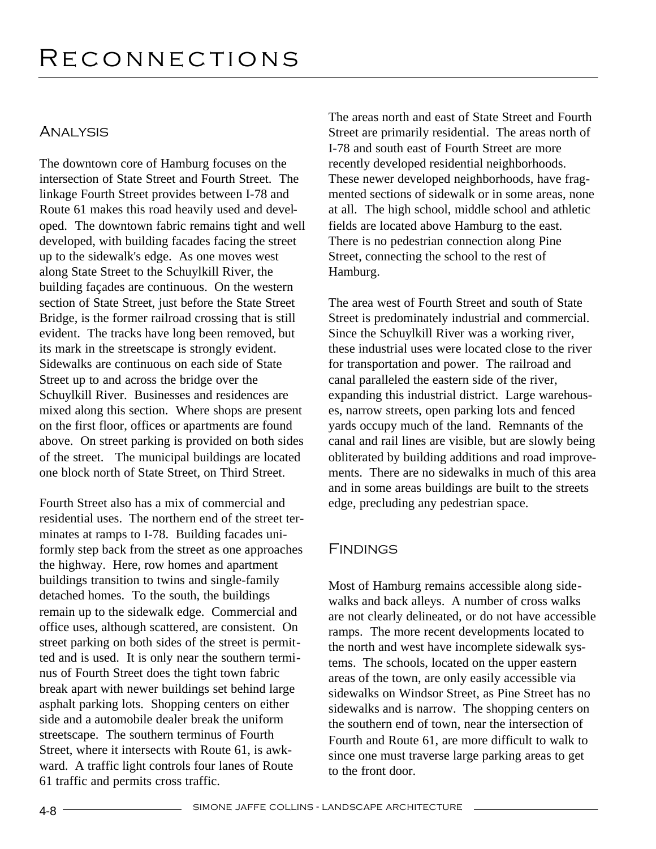### *Analysis*

The downtown core of Hamburg focuses on the intersection of State Street and Fourth Street. The linkage Fourth Street provides between I-78 and Route 61 makes this road heavily used and developed. The downtown fabric remains tight and well developed, with building facades facing the street up to the sidewalk's edge. As one moves west along State Street to the Schuylkill River, the building façades are continuous. On the western section of State Street, just before the State Street Bridge, is the former railroad crossing that is still evident. The tracks have long been removed, but its mark in the streetscape is strongly evident. Sidewalks are continuous on each side of State Street up to and across the bridge over the Schuylkill River. Businesses and residences are mixed along this section. Where shops are present on the first floor, offices or apartments are found above. On street parking is provided on both sides of the street. The municipal buildings are located one block north of State Street, on Third Street.

Fourth Street also has a mix of commercial and residential uses. The northern end of the street terminates at ramps to I-78. Building facades uniformly step back from the street as one approaches the highway. Here, row homes and apartment buildings transition to twins and single-family detached homes. To the south, the buildings remain up to the sidewalk edge. Commercial and office uses, although scattered, are consistent. On street parking on both sides of the street is permitted and is used. It is only near the southern terminus of Fourth Street does the tight town fabric break apart with newer buildings set behind large asphalt parking lots. Shopping centers on either side and a automobile dealer break the uniform streetscape. The southern terminus of Fourth Street, where it intersects with Route 61, is awkward. A traffic light controls four lanes of Route 61 traffic and permits cross traffic.

The areas north and east of State Street and Fourth Street are primarily residential. The areas north of I-78 and south east of Fourth Street are more recently developed residential neighborhoods. These newer developed neighborhoods, have fragmented sections of sidewalk or in some areas, none at all. The high school, middle school and athletic fields are located above Hamburg to the east. There is no pedestrian connection along Pine Street, connecting the school to the rest of Hamburg.

The area west of Fourth Street and south of State Street is predominately industrial and commercial. Since the Schuylkill River was a working river, these industrial uses were located close to the river for transportation and power. The railroad and canal paralleled the eastern side of the river, expanding this industrial district. Large warehouses, narrow streets, open parking lots and fenced yards occupy much of the land. Remnants of the canal and rail lines are visible, but are slowly being obliterated by building additions and road improvements. There are no sidewalks in much of this area and in some areas buildings are built to the streets edge, precluding any pedestrian space.

### *Findings*

Most of Hamburg remains accessible along sidewalks and back alleys. A number of cross walks are not clearly delineated, or do not have accessible ramps. The more recent developments located to the north and west have incomplete sidewalk systems. The schools, located on the upper eastern areas of the town, are only easily accessible via sidewalks on Windsor Street, as Pine Street has no sidewalks and is narrow. The shopping centers on the southern end of town, near the intersection of Fourth and Route 61, are more difficult to walk to since one must traverse large parking areas to get to the front door.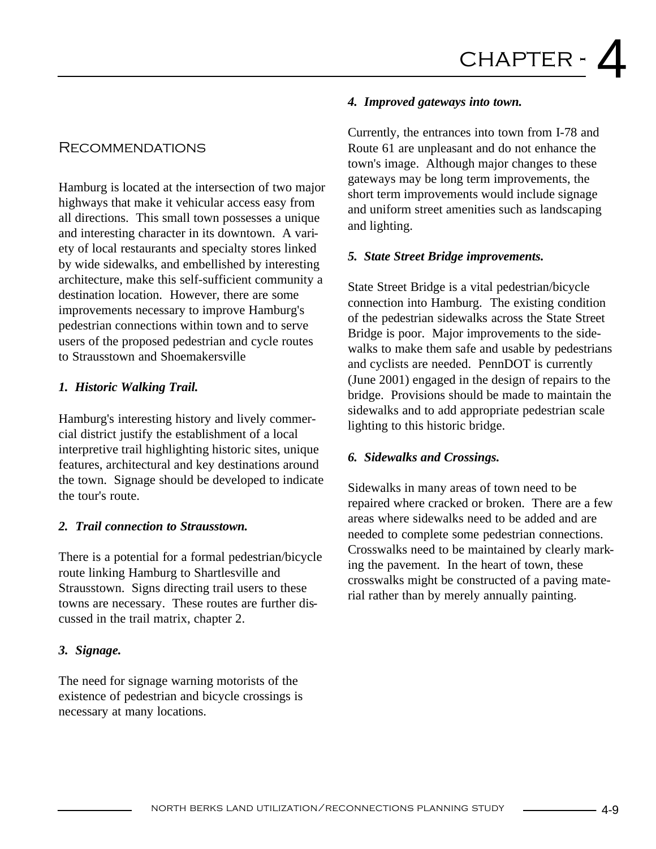### *Recommendations*

Hamburg is located at the intersection of two major highways that make it vehicular access easy from all directions. This small town possesses a unique and interesting character in its downtown. A variety of local restaurants and specialty stores linked by wide sidewalks, and embellished by interesting architecture, make this self-sufficient community a destination location. However, there are some improvements necessary to improve Hamburg's pedestrian connections within town and to serve users of the proposed pedestrian and cycle routes to Strausstown and Shoemakersville

### *1. Historic Walking Trail.*

Hamburg's interesting history and lively commercial district justify the establishment of a local interpretive trail highlighting historic sites, unique features, architectural and key destinations around the town. Signage should be developed to indicate the tour's route.

#### *2. Trail connection to Strausstown.*

There is a potential for a formal pedestrian/bicycle route linking Hamburg to Shartlesville and Strausstown. Signs directing trail users to these towns are necessary. These routes are further discussed in the trail matrix, chapter 2.

#### *3. Signage.*

The need for signage warning motorists of the existence of pedestrian and bicycle crossings is necessary at many locations.

#### *4. Improved gateways into town.*

Currently, the entrances into town from I-78 and Route 61 are unpleasant and do not enhance the town's image. Although major changes to these gateways may be long term improvements, the short term improvements would include signage and uniform street amenities such as landscaping and lighting.

#### *5. State Street Bridge improvements.*

State Street Bridge is a vital pedestrian/bicycle connection into Hamburg. The existing condition of the pedestrian sidewalks across the State Street Bridge is poor. Major improvements to the sidewalks to make them safe and usable by pedestrians and cyclists are needed. PennDOT is currently (June 2001) engaged in the design of repairs to the bridge. Provisions should be made to maintain the sidewalks and to add appropriate pedestrian scale lighting to this historic bridge.

#### *6. Sidewalks and Crossings.*

Sidewalks in many areas of town need to be repaired where cracked or broken. There are a few areas where sidewalks need to be added and are needed to complete some pedestrian connections. Crosswalks need to be maintained by clearly marking the pavement. In the heart of town, these crosswalks might be constructed of a paving material rather than by merely annually painting.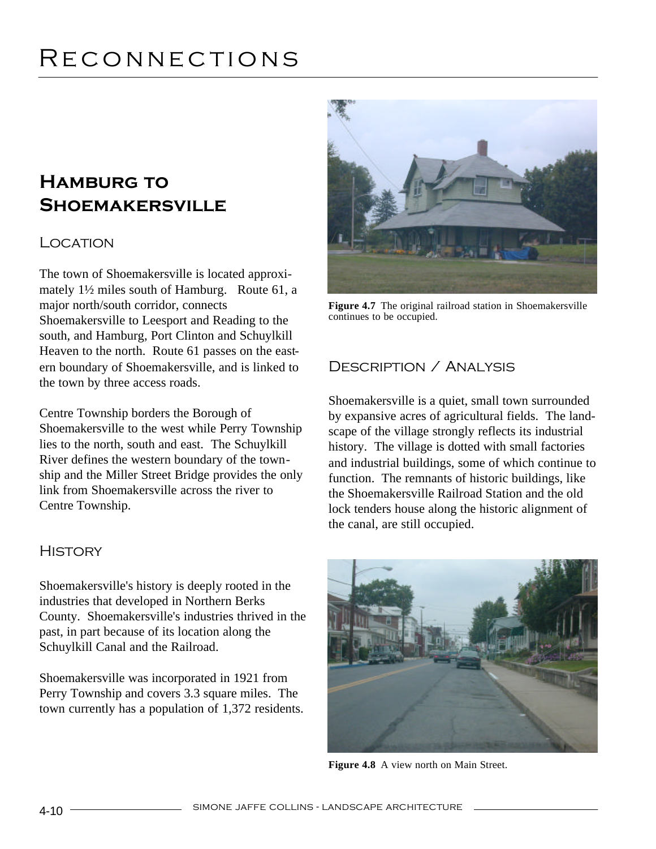# **Hamburg to Shoemakersville**

## *Location*

The town of Shoemakersville is located approximately 1½ miles south of Hamburg. Route 61, a major north/south corridor, connects Shoemakersville to Leesport and Reading to the south, and Hamburg, Port Clinton and Schuylkill Heaven to the north. Route 61 passes on the eastern boundary of Shoemakersville, and is linked to the town by three access roads.

Centre Township borders the Borough of Shoemakersville to the west while Perry Township lies to the north, south and east. The Schuylkill River defines the western boundary of the township and the Miller Street Bridge provides the only link from Shoemakersville across the river to Centre Township.

### *History*

Shoemakersville's history is deeply rooted in the industries that developed in Northern Berks County. Shoemakersville's industries thrived in the past, in part because of its location along the Schuylkill Canal and the Railroad.

Shoemakersville was incorporated in 1921 from Perry Township and covers 3.3 square miles. The town currently has a population of 1,372 residents.



**Figure 4.7** The original railroad station in Shoemakersville continues to be occupied.

## *Description / Analysis*

Shoemakersville is a quiet, small town surrounded by expansive acres of agricultural fields. The landscape of the village strongly reflects its industrial history. The village is dotted with small factories and industrial buildings, some of which continue to function. The remnants of historic buildings, like the Shoemakersville Railroad Station and the old lock tenders house along the historic alignment of the canal, are still occupied.



**Figure 4.8** A view north on Main Street.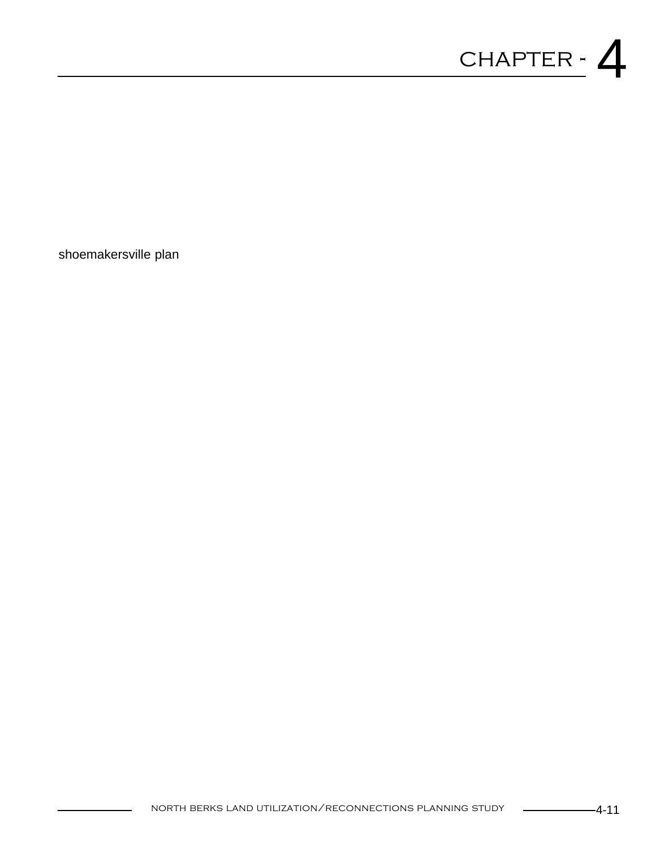

shoemakersville plan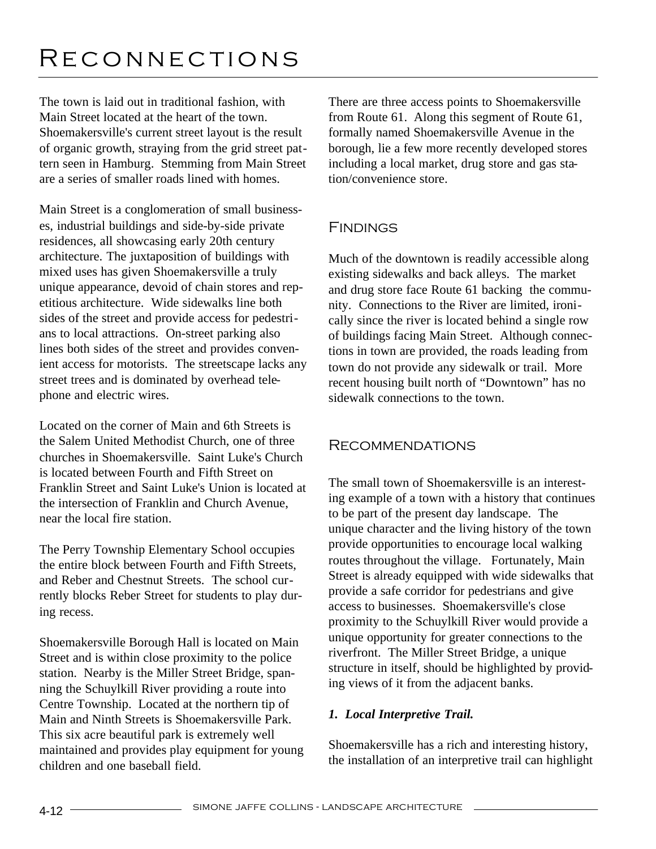The town is laid out in traditional fashion, with Main Street located at the heart of the town. Shoemakersville's current street layout is the result of organic growth, straying from the grid street pattern seen in Hamburg. Stemming from Main Street are a series of smaller roads lined with homes.

Main Street is a conglomeration of small businesses, industrial buildings and side-by-side private residences, all showcasing early 20th century architecture. The juxtaposition of buildings with mixed uses has given Shoemakersville a truly unique appearance, devoid of chain stores and repetitious architecture. Wide sidewalks line both sides of the street and provide access for pedestrians to local attractions. On-street parking also lines both sides of the street and provides convenient access for motorists. The streetscape lacks any street trees and is dominated by overhead telephone and electric wires.

Located on the corner of Main and 6th Streets is the Salem United Methodist Church, one of three churches in Shoemakersville. Saint Luke's Church is located between Fourth and Fifth Street on Franklin Street and Saint Luke's Union is located at the intersection of Franklin and Church Avenue, near the local fire station.

The Perry Township Elementary School occupies the entire block between Fourth and Fifth Streets, and Reber and Chestnut Streets. The school currently blocks Reber Street for students to play during recess.

Shoemakersville Borough Hall is located on Main Street and is within close proximity to the police station. Nearby is the Miller Street Bridge, spanning the Schuylkill River providing a route into Centre Township. Located at the northern tip of Main and Ninth Streets is Shoemakersville Park. This six acre beautiful park is extremely well maintained and provides play equipment for young children and one baseball field.

There are three access points to Shoemakersville from Route 61. Along this segment of Route 61, formally named Shoemakersville Avenue in the borough, lie a few more recently developed stores including a local market, drug store and gas station/convenience store.

### *Findings*

Much of the downtown is readily accessible along existing sidewalks and back alleys. The market and drug store face Route 61 backing the community. Connections to the River are limited, ironically since the river is located behind a single row of buildings facing Main Street. Although connections in town are provided, the roads leading from town do not provide any sidewalk or trail. More recent housing built north of "Downtown" has no sidewalk connections to the town.

### *Recommendations*

The small town of Shoemakersville is an interesting example of a town with a history that continues to be part of the present day landscape. The unique character and the living history of the town provide opportunities to encourage local walking routes throughout the village. Fortunately, Main Street is already equipped with wide sidewalks that provide a safe corridor for pedestrians and give access to businesses. Shoemakersville's close proximity to the Schuylkill River would provide a unique opportunity for greater connections to the riverfront. The Miller Street Bridge, a unique structure in itself, should be highlighted by providing views of it from the adjacent banks.

### *1. Local Interpretive Trail.*

Shoemakersville has a rich and interesting history, the installation of an interpretive trail can highlight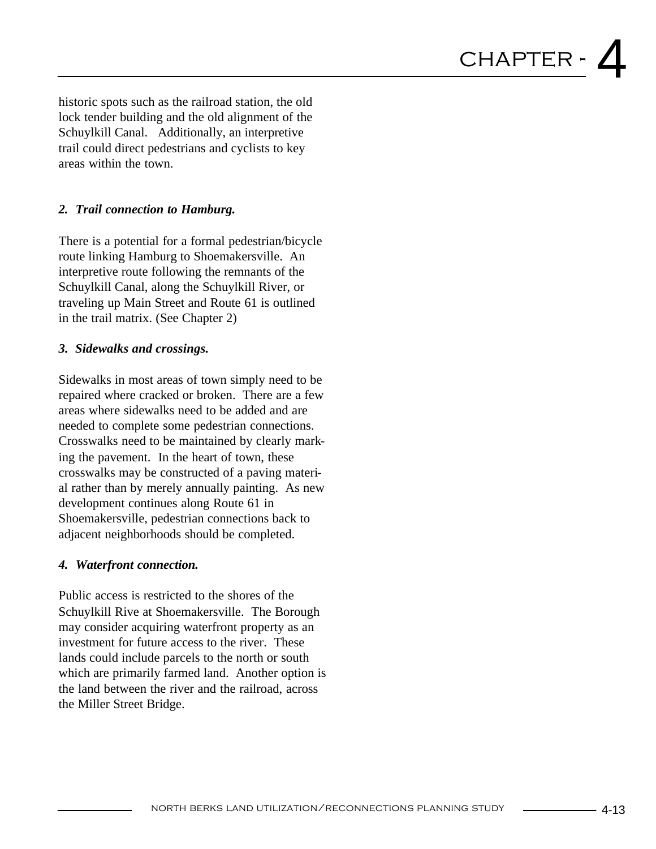historic spots such as the railroad station, the old lock tender building and the old alignment of the Schuylkill Canal. Additionally, an interpretive trail could direct pedestrians and cyclists to key areas within the town.

### *2. Trail connection to Hamburg.*

There is a potential for a formal pedestrian/bicycle route linking Hamburg to Shoemakersville. An interpretive route following the remnants of the Schuylkill Canal, along the Schuylkill River, or traveling up Main Street and Route 61 is outlined in the trail matrix. (See Chapter 2)

#### *3. Sidewalks and crossings.*

Sidewalks in most areas of town simply need to be repaired where cracked or broken. There are a few areas where sidewalks need to be added and are needed to complete some pedestrian connections. Crosswalks need to be maintained by clearly marking the pavement. In the heart of town, these crosswalks may be constructed of a paving material rather than by merely annually painting. As new development continues along Route 61 in Shoemakersville, pedestrian connections back to adjacent neighborhoods should be completed.

### *4. Waterfront connection.*

Public access is restricted to the shores of the Schuylkill Rive at Shoemakersville. The Borough may consider acquiring waterfront property as an investment for future access to the river. These lands could include parcels to the north or south which are primarily farmed land. Another option is the land between the river and the railroad, across the Miller Street Bridge.

4

*chapter -*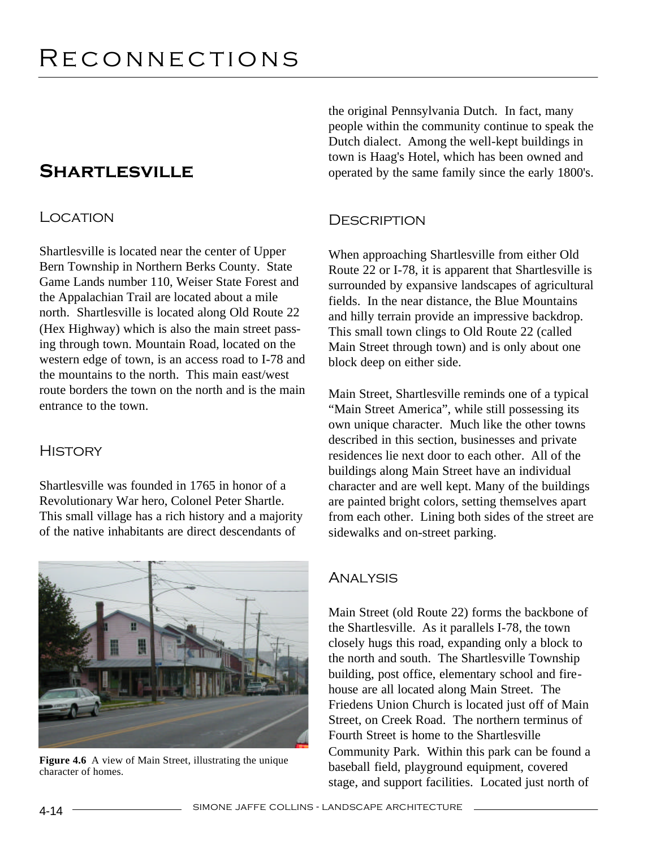# **Shartlesville**

## *Location*

Shartlesville is located near the center of Upper Bern Township in Northern Berks County. State Game Lands number 110, Weiser State Forest and the Appalachian Trail are located about a mile north. Shartlesville is located along Old Route 22 (Hex Highway) which is also the main street passing through town. Mountain Road, located on the western edge of town, is an access road to I-78 and the mountains to the north. This main east/west route borders the town on the north and is the main entrance to the town.

### *History*

Shartlesville was founded in 1765 in honor of a Revolutionary War hero, Colonel Peter Shartle. This small village has a rich history and a majority of the native inhabitants are direct descendants of



**Figure 4.6** A view of Main Street, illustrating the unique character of homes.

the original Pennsylvania Dutch. In fact, many people within the community continue to speak the Dutch dialect. Among the well-kept buildings in town is Haag's Hotel, which has been owned and operated by the same family since the early 1800's.

## *Description*

When approaching Shartlesville from either Old Route 22 or I-78, it is apparent that Shartlesville is surrounded by expansive landscapes of agricultural fields. In the near distance, the Blue Mountains and hilly terrain provide an impressive backdrop. This small town clings to Old Route 22 (called Main Street through town) and is only about one block deep on either side.

Main Street, Shartlesville reminds one of a typical "Main Street America", while still possessing its own unique character. Much like the other towns described in this section, businesses and private residences lie next door to each other. All of the buildings along Main Street have an individual character and are well kept. Many of the buildings are painted bright colors, setting themselves apart from each other. Lining both sides of the street are sidewalks and on-street parking.

### *Analysis*

Main Street (old Route 22) forms the backbone of the Shartlesville. As it parallels I-78, the town closely hugs this road, expanding only a block to the north and south. The Shartlesville Township building, post office, elementary school and firehouse are all located along Main Street. The Friedens Union Church is located just off of Main Street, on Creek Road. The northern terminus of Fourth Street is home to the Shartlesville Community Park. Within this park can be found a baseball field, playground equipment, covered stage, and support facilities. Located just north of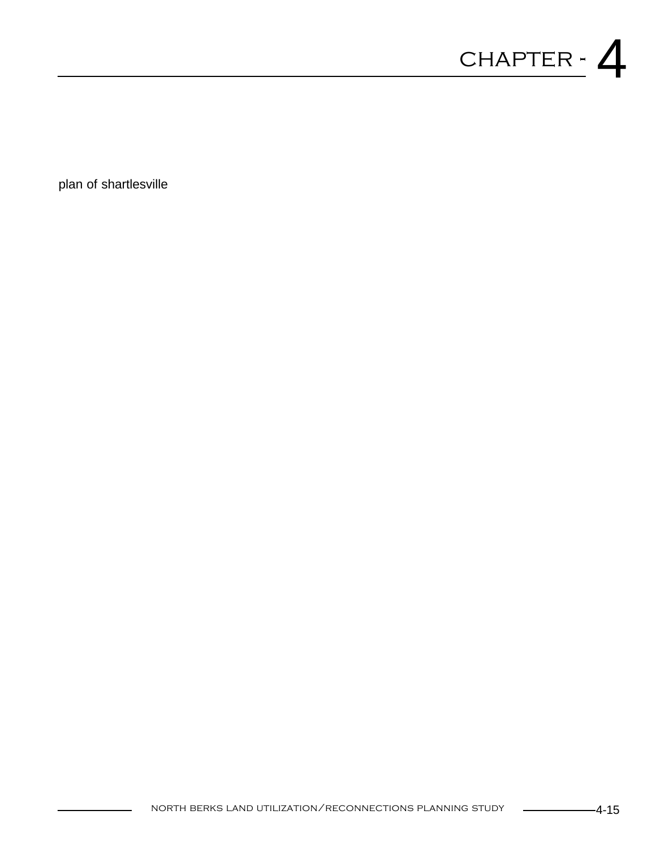

plan of shartlesville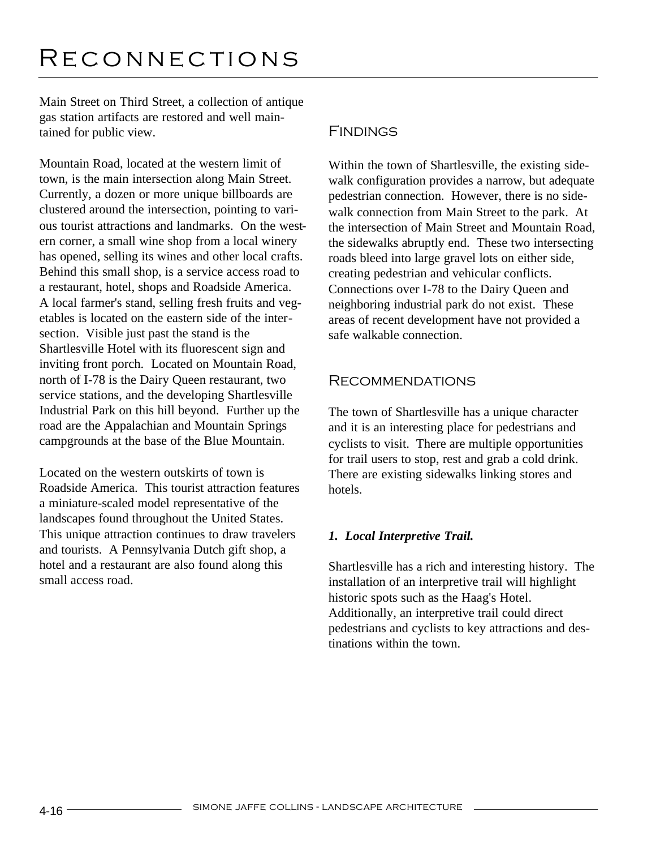Main Street on Third Street, a collection of antique gas station artifacts are restored and well maintained for public view.

Mountain Road, located at the western limit of town, is the main intersection along Main Street. Currently, a dozen or more unique billboards are clustered around the intersection, pointing to various tourist attractions and landmarks. On the western corner, a small wine shop from a local winery has opened, selling its wines and other local crafts. Behind this small shop, is a service access road to a restaurant, hotel, shops and Roadside America. A local farmer's stand, selling fresh fruits and vegetables is located on the eastern side of the intersection. Visible just past the stand is the Shartlesville Hotel with its fluorescent sign and inviting front porch. Located on Mountain Road, north of I-78 is the Dairy Queen restaurant, two service stations, and the developing Shartlesville Industrial Park on this hill beyond. Further up the road are the Appalachian and Mountain Springs campgrounds at the base of the Blue Mountain.

Located on the western outskirts of town is Roadside America. This tourist attraction features a miniature-scaled model representative of the landscapes found throughout the United States. This unique attraction continues to draw travelers and tourists. A Pennsylvania Dutch gift shop, a hotel and a restaurant are also found along this small access road.

### *Findings*

Within the town of Shartlesville, the existing sidewalk configuration provides a narrow, but adequate pedestrian connection. However, there is no sidewalk connection from Main Street to the park. At the intersection of Main Street and Mountain Road, the sidewalks abruptly end. These two intersecting roads bleed into large gravel lots on either side, creating pedestrian and vehicular conflicts. Connections over I-78 to the Dairy Queen and neighboring industrial park do not exist. These areas of recent development have not provided a safe walkable connection.

### *Recommendations*

The town of Shartlesville has a unique character and it is an interesting place for pedestrians and cyclists to visit. There are multiple opportunities for trail users to stop, rest and grab a cold drink. There are existing sidewalks linking stores and hotels.

### *1. Local Interpretive Trail.*

Shartlesville has a rich and interesting history. The installation of an interpretive trail will highlight historic spots such as the Haag's Hotel. Additionally, an interpretive trail could direct pedestrians and cyclists to key attractions and destinations within the town.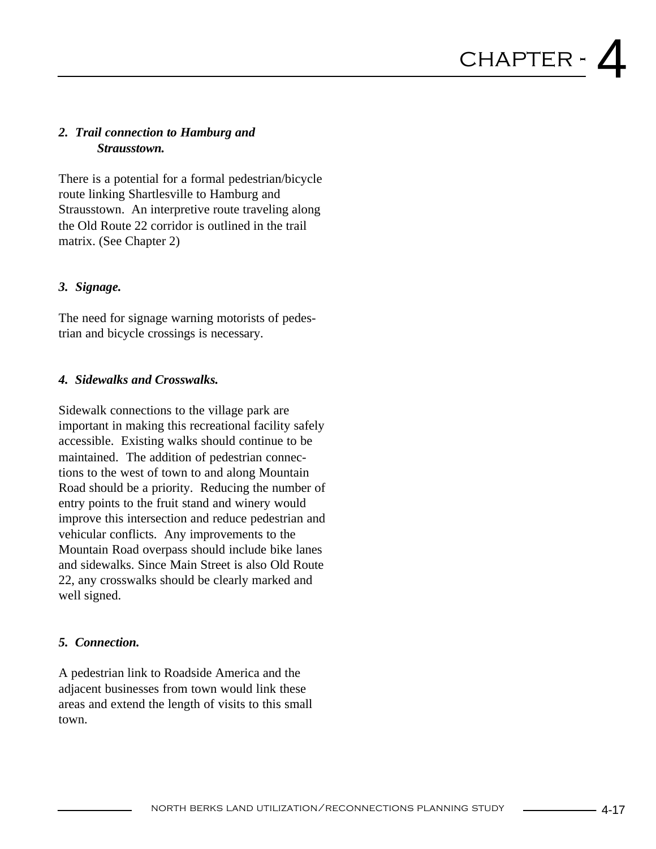*2. Trail connection to Hamburg and Strausstown.* 

There is a potential for a formal pedestrian/bicycle route linking Shartlesville to Hamburg and Strausstown. An interpretive route traveling along the Old Route 22 corridor is outlined in the trail matrix. (See Chapter 2)

#### *3. Signage.*

The need for signage warning motorists of pedestrian and bicycle crossings is necessary.

#### *4. Sidewalks and Crosswalks.*

Sidewalk connections to the village park are important in making this recreational facility safely accessible. Existing walks should continue to be maintained. The addition of pedestrian connections to the west of town to and along Mountain Road should be a priority. Reducing the number of entry points to the fruit stand and winery would improve this intersection and reduce pedestrian and vehicular conflicts. Any improvements to the Mountain Road overpass should include bike lanes and sidewalks. Since Main Street is also Old Route 22, any crosswalks should be clearly marked and well signed.

#### *5. Connection.*

A pedestrian link to Roadside America and the adjacent businesses from town would link these areas and extend the length of visits to this small town.

4

*chapter -*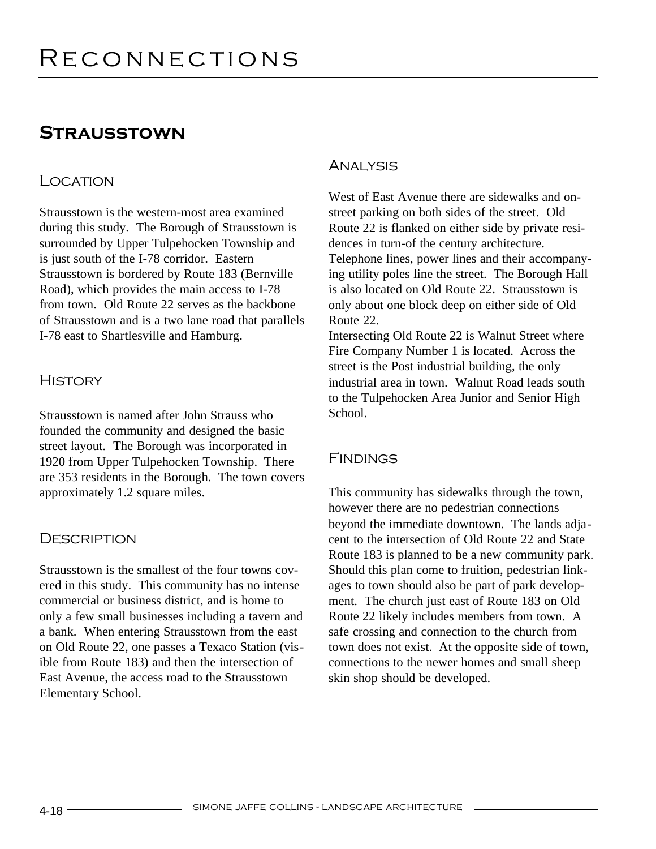# **Strausstown**

### *Location*

Strausstown is the western-most area examined during this study. The Borough of Strausstown is surrounded by Upper Tulpehocken Township and is just south of the I-78 corridor. Eastern Strausstown is bordered by Route 183 (Bernville Road), which provides the main access to I-78 from town. Old Route 22 serves as the backbone of Strausstown and is a two lane road that parallels I-78 east to Shartlesville and Hamburg.

### *History*

Strausstown is named after John Strauss who founded the community and designed the basic street layout. The Borough was incorporated in 1920 from Upper Tulpehocken Township. There are 353 residents in the Borough. The town covers approximately 1.2 square miles.

### *Description*

Strausstown is the smallest of the four towns covered in this study. This community has no intense commercial or business district, and is home to only a few small businesses including a tavern and a bank. When entering Strausstown from the east on Old Route 22, one passes a Texaco Station (visible from Route 183) and then the intersection of East Avenue, the access road to the Strausstown Elementary School.

### *Analysis*

West of East Avenue there are sidewalks and onstreet parking on both sides of the street. Old Route 22 is flanked on either side by private residences in turn-of the century architecture. Telephone lines, power lines and their accompanying utility poles line the street. The Borough Hall is also located on Old Route 22. Strausstown is only about one block deep on either side of Old Route 22.

Intersecting Old Route 22 is Walnut Street where Fire Company Number 1 is located. Across the street is the Post industrial building, the only industrial area in town. Walnut Road leads south to the Tulpehocken Area Junior and Senior High School.

### *Findings*

This community has sidewalks through the town, however there are no pedestrian connections beyond the immediate downtown. The lands adjacent to the intersection of Old Route 22 and State Route 183 is planned to be a new community park. Should this plan come to fruition, pedestrian linkages to town should also be part of park development. The church just east of Route 183 on Old Route 22 likely includes members from town. A safe crossing and connection to the church from town does not exist. At the opposite side of town, connections to the newer homes and small sheep skin shop should be developed.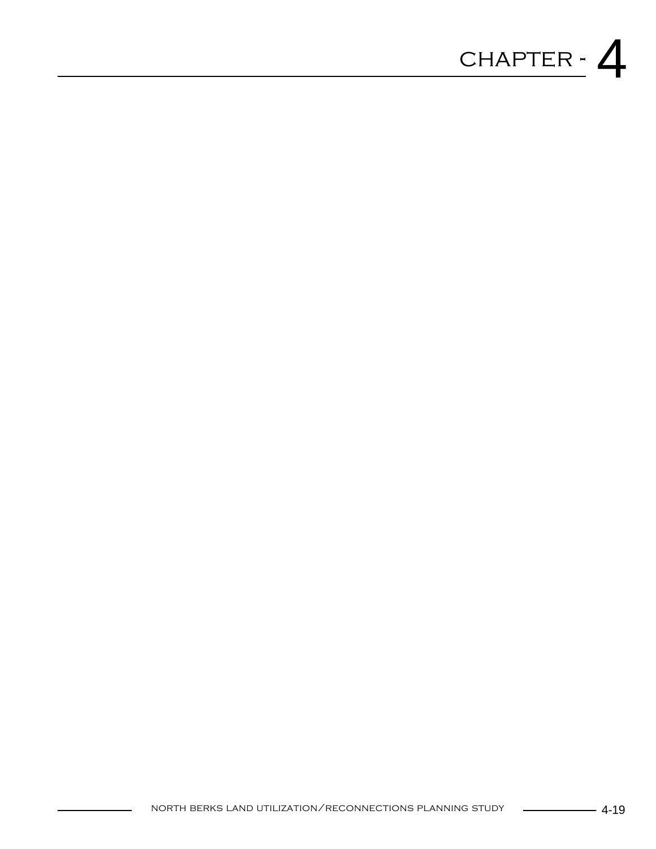# 4 *chapter -*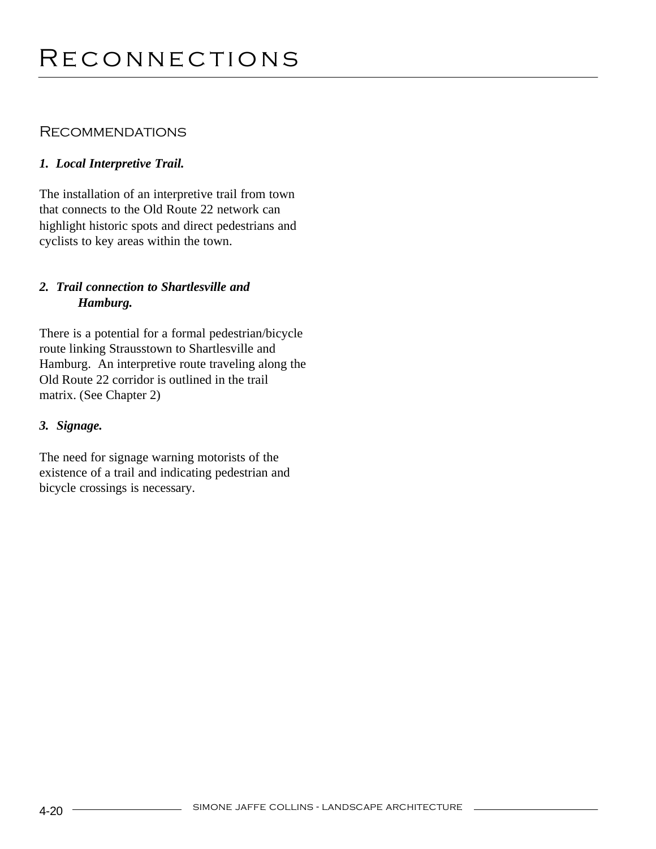### *Recommendations*

### *1. Local Interpretive Trail.*

The installation of an interpretive trail from town that connects to the Old Route 22 network can highlight historic spots and direct pedestrians and cyclists to key areas within the town.

### *2. Trail connection to Shartlesville and Hamburg.*

There is a potential for a formal pedestrian/bicycle route linking Strausstown to Shartlesville and Hamburg. An interpretive route traveling along the Old Route 22 corridor is outlined in the trail matrix. (See Chapter 2)

### *3. Signage.*

The need for signage warning motorists of the existence of a trail and indicating pedestrian and bicycle crossings is necessary.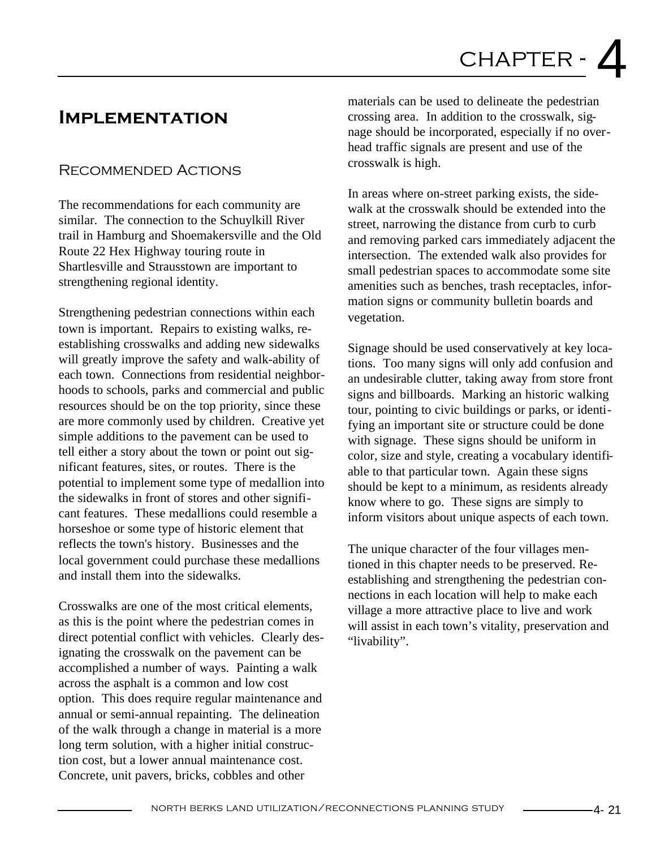# **Implementation**

### *Recommended Actions*

The recommendations for each community are similar. The connection to the Schuylkill River trail in Hamburg and Shoemakersville and the Old Route 22 Hex Highway touring route in Shartlesville and Strausstown are important to strengthening regional identity.

Strengthening pedestrian connections within each town is important. Repairs to existing walks, reestablishing crosswalks and adding new sidewalks will greatly improve the safety and walk-ability of each town. Connections from residential neighborhoods to schools, parks and commercial and public resources should be on the top priority, since these are more commonly used by children. Creative yet simple additions to the pavement can be used to tell either a story about the town or point out significant features, sites, or routes. There is the potential to implement some type of medallion into the sidewalks in front of stores and other significant features. These medallions could resemble a horseshoe or some type of historic element that reflects the town's history. Businesses and the local government could purchase these medallions and install them into the sidewalks.

Crosswalks are one of the most critical elements, as this is the point where the pedestrian comes in direct potential conflict with vehicles. Clearly designating the crosswalk on the pavement can be accomplished a number of ways. Painting a walk across the asphalt is a common and low cost option. This does require regular maintenance and annual or semi-annual repainting. The delineation of the walk through a change in material is a more long term solution, with a higher initial construction cost, but a lower annual maintenance cost. Concrete, unit pavers, bricks, cobbles and other

materials can be used to delineate the pedestrian crossing area. In addition to the crosswalk, signage should be incorporated, especially if no overhead traffic signals are present and use of the crosswalk is high.

*chapter -*

4

In areas where on-street parking exists, the sidewalk at the crosswalk should be extended into the street, narrowing the distance from curb to curb and removing parked cars immediately adjacent the intersection. The extended walk also provides for small pedestrian spaces to accommodate some site amenities such as benches, trash receptacles, information signs or community bulletin boards and vegetation.

Signage should be used conservatively at key locations. Too many signs will only add confusion and an undesirable clutter, taking away from store front signs and billboards. Marking an historic walking tour, pointing to civic buildings or parks, or identifying an important site or structure could be done with signage. These signs should be uniform in color, size and style, creating a vocabulary identifiable to that particular town. Again these signs should be kept to a minimum, as residents already know where to go. These signs are simply to inform visitors about unique aspects of each town.

The unique character of the four villages mentioned in this chapter needs to be preserved. Reestablishing and strengthening the pedestrian connections in each location will help to make each village a more attractive place to live and work will assist in each town's vitality, preservation and "livability".